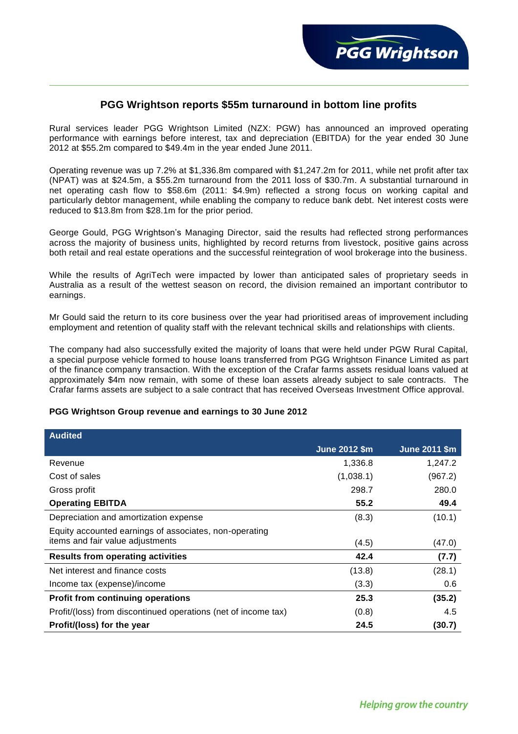

# **PGG Wrightson reports \$55m turnaround in bottom line profits**

Rural services leader PGG Wrightson Limited (NZX: PGW) has announced an improved operating performance with earnings before interest, tax and depreciation (EBITDA) for the year ended 30 June 2012 at \$55.2m compared to \$49.4m in the year ended June 2011.

Operating revenue was up 7.2% at \$1,336.8m compared with \$1,247.2m for 2011, while net profit after tax (NPAT) was at \$24.5m, a \$55.2m turnaround from the 2011 loss of \$30.7m. A substantial turnaround in net operating cash flow to \$58.6m (2011: \$4.9m) reflected a strong focus on working capital and particularly debtor management, while enabling the company to reduce bank debt. Net interest costs were reduced to \$13.8m from \$28.1m for the prior period.

George Gould, PGG Wrightson's Managing Director, said the results had reflected strong performances across the majority of business units, highlighted by record returns from livestock, positive gains across both retail and real estate operations and the successful reintegration of wool brokerage into the business.

While the results of AgriTech were impacted by lower than anticipated sales of proprietary seeds in Australia as a result of the wettest season on record, the division remained an important contributor to earnings.

Mr Gould said the return to its core business over the year had prioritised areas of improvement including employment and retention of quality staff with the relevant technical skills and relationships with clients.

The company had also successfully exited the majority of loans that were held under PGW Rural Capital, a special purpose vehicle formed to house loans transferred from PGG Wrightson Finance Limited as part of the finance company transaction. With the exception of the Crafar farms assets residual loans valued at approximately \$4m now remain, with some of these loan assets already subject to sale contracts. The Crafar farms assets are subject to a sale contract that has received Overseas Investment Office approval.

## **PGG Wrightson Group revenue and earnings to 30 June 2012**

| <b>Audited</b>                                                 |                      |                      |
|----------------------------------------------------------------|----------------------|----------------------|
|                                                                | <b>June 2012 \$m</b> | <b>June 2011 \$m</b> |
| Revenue                                                        | 1,336.8              | 1,247.2              |
| Cost of sales                                                  | (1,038.1)            | (967.2)              |
| Gross profit                                                   | 298.7                | 280.0                |
| <b>Operating EBITDA</b>                                        | 55.2                 | 49.4                 |
| Depreciation and amortization expense                          | (8.3)                | (10.1)               |
| Equity accounted earnings of associates, non-operating         |                      |                      |
| items and fair value adjustments                               | (4.5)                | (47.0)               |
| <b>Results from operating activities</b>                       | 42.4                 | (7.7)                |
| Net interest and finance costs                                 | (13.8)               | (28.1)               |
| Income tax (expense)/income                                    | (3.3)                | 0.6                  |
| <b>Profit from continuing operations</b>                       | 25.3                 | (35.2)               |
| Profit/(loss) from discontinued operations (net of income tax) | (0.8)                | 4.5                  |
| Profit/(loss) for the year                                     | 24.5                 | (30.7)               |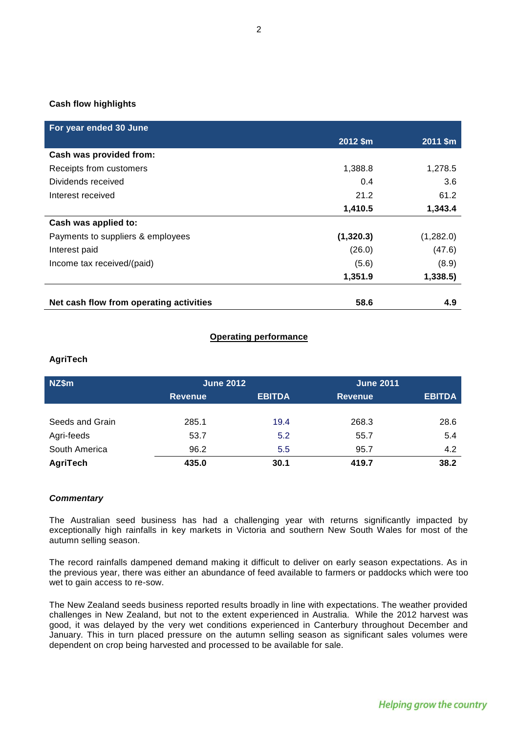## **Cash flow highlights**

| For year ended 30 June                  |           |           |
|-----------------------------------------|-----------|-----------|
|                                         | 2012 \$m  | 2011 \$m  |
| Cash was provided from:                 |           |           |
| Receipts from customers                 | 1,388.8   | 1,278.5   |
| Dividends received                      | 0.4       | 3.6       |
| Interest received                       | 21.2      | 61.2      |
|                                         | 1,410.5   | 1,343.4   |
| Cash was applied to:                    |           |           |
| Payments to suppliers & employees       | (1,320.3) | (1,282.0) |
| Interest paid                           | (26.0)    | (47.6)    |
| Income tax received/(paid)              | (5.6)     | (8.9)     |
|                                         | 1,351.9   | 1,338.5   |
|                                         |           |           |
| Net cash flow from operating activities | 58.6      | 4.9       |

### **Operating performance**

## **AgriTech**

| NZ\$m           | <b>June 2012</b> |               | <b>June 2011</b> |               |
|-----------------|------------------|---------------|------------------|---------------|
|                 | <b>Revenue</b>   | <b>EBITDA</b> | <b>Revenue</b>   | <b>EBITDA</b> |
|                 |                  |               |                  |               |
| Seeds and Grain | 285.1            | 19.4          | 268.3            | 28.6          |
| Agri-feeds      | 53.7             | 5.2           | 55.7             | 5.4           |
| South America   | 96.2             | 5.5           | 95.7             | 4.2           |
| AgriTech        | 435.0            | 30.1          | 419.7            | 38.2          |

#### *Commentary*

The Australian seed business has had a challenging year with returns significantly impacted by exceptionally high rainfalls in key markets in Victoria and southern New South Wales for most of the autumn selling season.

The record rainfalls dampened demand making it difficult to deliver on early season expectations. As in the previous year, there was either an abundance of feed available to farmers or paddocks which were too wet to gain access to re-sow.

The New Zealand seeds business reported results broadly in line with expectations. The weather provided challenges in New Zealand, but not to the extent experienced in Australia. While the 2012 harvest was good, it was delayed by the very wet conditions experienced in Canterbury throughout December and January. This in turn placed pressure on the autumn selling season as significant sales volumes were dependent on crop being harvested and processed to be available for sale.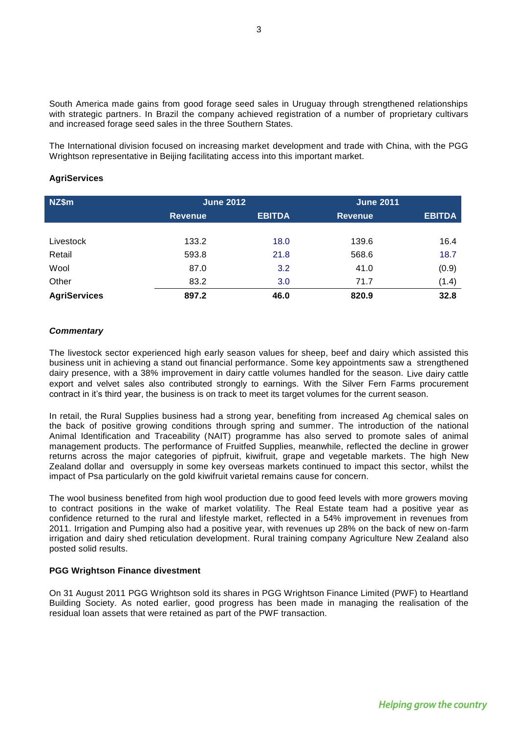South America made gains from good forage seed sales in Uruguay through strengthened relationships with strategic partners. In Brazil the company achieved registration of a number of proprietary cultivars and increased forage seed sales in the three Southern States.

The International division focused on increasing market development and trade with China, with the PGG Wrightson representative in Beijing facilitating access into this important market.

#### **AgriServices**

| NZ\$m               | <b>June 2012</b> |               | <b>June 2011</b> |               |
|---------------------|------------------|---------------|------------------|---------------|
|                     | <b>Revenue</b>   | <b>EBITDA</b> | <b>Revenue</b>   | <b>EBITDA</b> |
|                     |                  |               |                  |               |
| Livestock           | 133.2            | 18.0          | 139.6            | 16.4          |
| Retail              | 593.8            | 21.8          | 568.6            | 18.7          |
| Wool                | 87.0             | 3.2           | 41.0             | (0.9)         |
| Other               | 83.2             | 3.0           | 71.7             | (1.4)         |
| <b>AgriServices</b> | 897.2            | 46.0          | 820.9            | 32.8          |

### *Commentary*

The livestock sector experienced high early season values for sheep, beef and dairy which assisted this business unit in achieving a stand out financial performance. Some key appointments saw a strengthened dairy presence, with a 38% improvement in dairy cattle volumes handled for the season. Live dairy cattle export and velvet sales also contributed strongly to earnings. With the Silver Fern Farms procurement contract in it's third year, the business is on track to meet its target volumes for the current season.

In retail, the Rural Supplies business had a strong year, benefiting from increased Ag chemical sales on the back of positive growing conditions through spring and summer. The introduction of the national Animal Identification and Traceability (NAIT) programme has also served to promote sales of animal management products. The performance of Fruitfed Supplies, meanwhile, reflected the decline in grower returns across the major categories of pipfruit, kiwifruit, grape and vegetable markets. The high New Zealand dollar and oversupply in some key overseas markets continued to impact this sector, whilst the impact of Psa particularly on the gold kiwifruit varietal remains cause for concern.

The wool business benefited from high wool production due to good feed levels with more growers moving to contract positions in the wake of market volatility. The Real Estate team had a positive year as confidence returned to the rural and lifestyle market, reflected in a 54% improvement in revenues from 2011. Irrigation and Pumping also had a positive year, with revenues up 28% on the back of new on-farm irrigation and dairy shed reticulation development. Rural training company Agriculture New Zealand also posted solid results.

#### **PGG Wrightson Finance divestment**

On 31 August 2011 PGG Wrightson sold its shares in PGG Wrightson Finance Limited (PWF) to Heartland Building Society. As noted earlier, good progress has been made in managing the realisation of the residual loan assets that were retained as part of the PWF transaction.